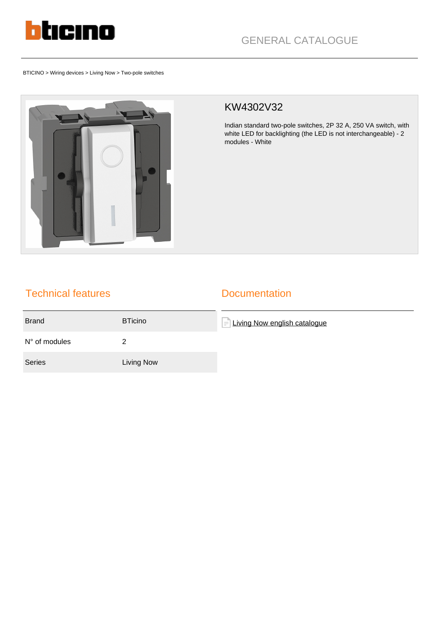

BTICINO > Wiring devices > Living Now > Two-pole switches



## KW4302V32

Indian standard two-pole switches, 2P 32 A, 250 VA switch, with white LED for backlighting (the LED is not interchangeable) - 2 modules - White

## Technical features

## **Documentation**

| <b>Brand</b>           | <b>BTicino</b> | <b>Living Now english catalogue</b><br>$\equiv$ |
|------------------------|----------------|-------------------------------------------------|
| $N^{\circ}$ of modules |                |                                                 |
| Series                 | Living Now     |                                                 |